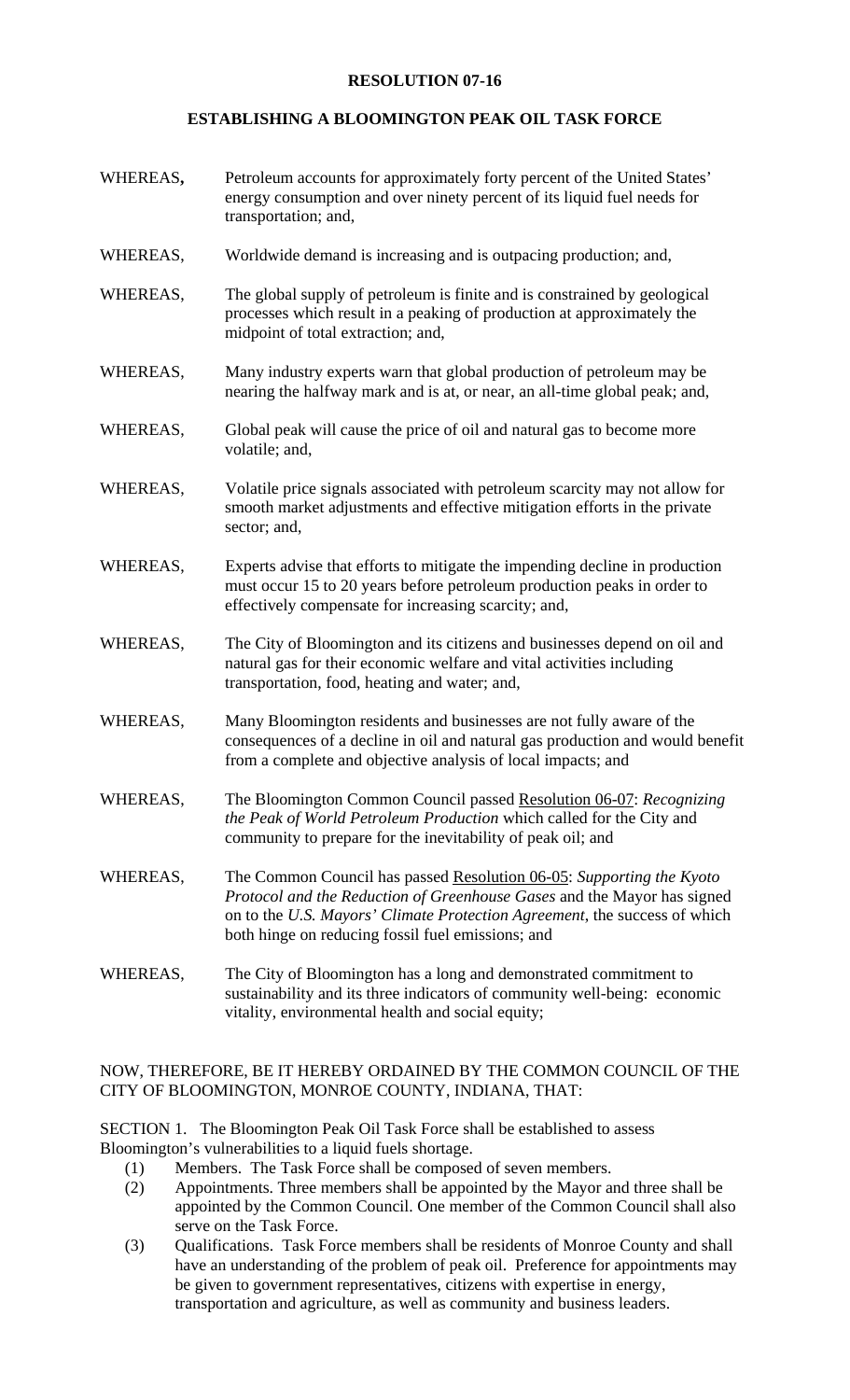## **RESOLUTION 07-16**

## **ESTABLISHING A BLOOMINGTON PEAK OIL TASK FORCE**

- WHEREAS**,** Petroleum accounts for approximately forty percent of the United States' energy consumption and over ninety percent of its liquid fuel needs for transportation; and,
- WHEREAS, Worldwide demand is increasing and is outpacing production; and,
- WHEREAS, The global supply of petroleum is finite and is constrained by geological processes which result in a peaking of production at approximately the midpoint of total extraction; and,
- WHEREAS, Many industry experts warn that global production of petroleum may be nearing the halfway mark and is at, or near, an all-time global peak; and,
- WHEREAS, Global peak will cause the price of oil and natural gas to become more volatile; and,
- WHEREAS, Volatile price signals associated with petroleum scarcity may not allow for smooth market adjustments and effective mitigation efforts in the private sector; and,
- WHEREAS, Experts advise that efforts to mitigate the impending decline in production must occur 15 to 20 years before petroleum production peaks in order to effectively compensate for increasing scarcity; and,
- WHEREAS, The City of Bloomington and its citizens and businesses depend on oil and natural gas for their economic welfare and vital activities including transportation, food, heating and water; and,
- WHEREAS, Many Bloomington residents and businesses are not fully aware of the consequences of a decline in oil and natural gas production and would benefit from a complete and objective analysis of local impacts; and
- WHEREAS, The Bloomington Common Council passed Resolution 06-07: *Recognizing the Peak of World Petroleum Production* which called for the City and community to prepare for the inevitability of peak oil; and
- WHEREAS, The Common Council has passed Resolution 06-05: *Supporting the Kyoto Protocol and the Reduction of Greenhouse Gases* and the Mayor has signed on to the *U.S. Mayors' Climate Protection Agreement*, the success of which both hinge on reducing fossil fuel emissions; and
- WHEREAS, The City of Bloomington has a long and demonstrated commitment to sustainability and its three indicators of community well-being: economic vitality, environmental health and social equity;

## NOW, THEREFORE, BE IT HEREBY ORDAINED BY THE COMMON COUNCIL OF THE CITY OF BLOOMINGTON, MONROE COUNTY, INDIANA, THAT:

SECTION 1. The Bloomington Peak Oil Task Force shall be established to assess Bloomington's vulnerabilities to a liquid fuels shortage.

- (1) Members. The Task Force shall be composed of seven members.
- (2) Appointments. Three members shall be appointed by the Mayor and three shall be appointed by the Common Council. One member of the Common Council shall also serve on the Task Force.
- (3) Qualifications. Task Force members shall be residents of Monroe County and shall have an understanding of the problem of peak oil. Preference for appointments may be given to government representatives, citizens with expertise in energy, transportation and agriculture, as well as community and business leaders.